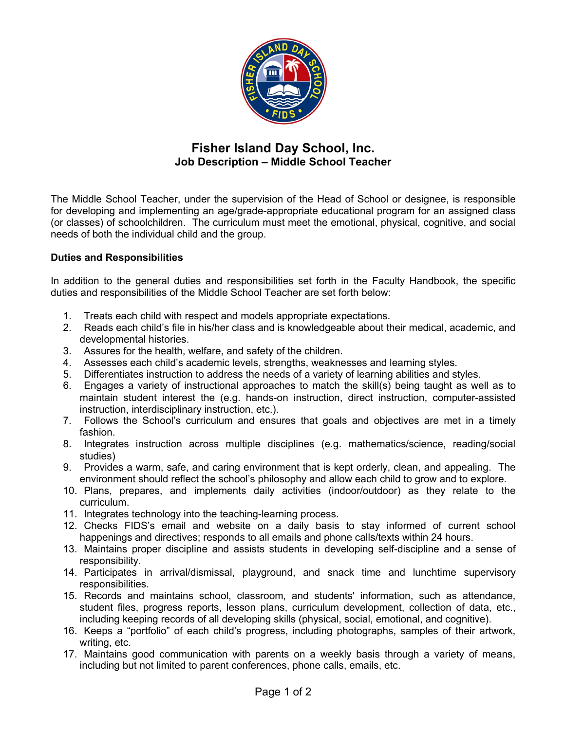

# **Fisher Island Day School, Inc. Job Description – Middle School Teacher**

The Middle School Teacher, under the supervision of the Head of School or designee, is responsible for developing and implementing an age/grade-appropriate educational program for an assigned class (or classes) of schoolchildren. The curriculum must meet the emotional, physical, cognitive, and social needs of both the individual child and the group.

### **Duties and Responsibilities**

In addition to the general duties and responsibilities set forth in the Faculty Handbook, the specific duties and responsibilities of the Middle School Teacher are set forth below:

- 1. Treats each child with respect and models appropriate expectations.
- 2. Reads each child's file in his/her class and is knowledgeable about their medical, academic, and developmental histories.
- 3. Assures for the health, welfare, and safety of the children.
- 4. Assesses each child's academic levels, strengths, weaknesses and learning styles.
- 5. Differentiates instruction to address the needs of a variety of learning abilities and styles.
- 6. Engages a variety of instructional approaches to match the skill(s) being taught as well as to maintain student interest the (e.g. hands-on instruction, direct instruction, computer-assisted instruction, interdisciplinary instruction, etc.).
- 7. Follows the School's curriculum and ensures that goals and objectives are met in a timely fashion.
- 8. Integrates instruction across multiple disciplines (e.g. mathematics/science, reading/social studies)
- 9. Provides a warm, safe, and caring environment that is kept orderly, clean, and appealing. The environment should reflect the school's philosophy and allow each child to grow and to explore.
- 10. Plans, prepares, and implements daily activities (indoor/outdoor) as they relate to the curriculum.
- 11. Integrates technology into the teaching-learning process.
- 12. Checks FIDS's email and website on a daily basis to stay informed of current school happenings and directives; responds to all emails and phone calls/texts within 24 hours.
- 13. Maintains proper discipline and assists students in developing self-discipline and a sense of responsibility.
- 14. Participates in arrival/dismissal, playground, and snack time and lunchtime supervisory responsibilities.
- 15. Records and maintains school, classroom, and students' information, such as attendance, student files, progress reports, lesson plans, curriculum development, collection of data, etc., including keeping records of all developing skills (physical, social, emotional, and cognitive).
- 16. Keeps a "portfolio" of each child's progress, including photographs, samples of their artwork, writing, etc.
- 17. Maintains good communication with parents on a weekly basis through a variety of means, including but not limited to parent conferences, phone calls, emails, etc.